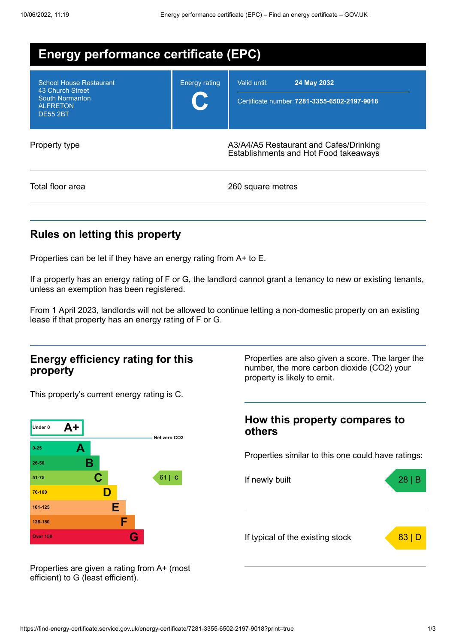| <b>Energy performance certificate (EPC)</b>                                                                        |                      |                                                                                 |  |  |
|--------------------------------------------------------------------------------------------------------------------|----------------------|---------------------------------------------------------------------------------|--|--|
| <b>School House Restaurant</b><br>43 Church Street<br><b>South Normanton</b><br><b>ALFRETON</b><br><b>DE55 2BT</b> | <b>Energy rating</b> | Valid until:<br>24 May 2032<br>Certificate number: 7281-3355-6502-2197-9018     |  |  |
| Property type                                                                                                      |                      | A3/A4/A5 Restaurant and Cafes/Drinking<br>Establishments and Hot Food takeaways |  |  |
| Total floor area                                                                                                   |                      | 260 square metres                                                               |  |  |

# **Rules on letting this property**

Properties can be let if they have an energy rating from A+ to E.

If a property has an energy rating of F or G, the landlord cannot grant a tenancy to new or existing tenants, unless an exemption has been registered.

From 1 April 2023, landlords will not be allowed to continue letting a non-domestic property on an existing lease if that property has an energy rating of F or G.

### **Energy efficiency rating for this property**

This property's current energy rating is C.



Properties are also given a score. The larger the number, the more carbon dioxide (CO2) your property is likely to emit.

## **How this property compares to others**

Properties similar to this one could have ratings:



Properties are given a rating from A+ (most efficient) to G (least efficient).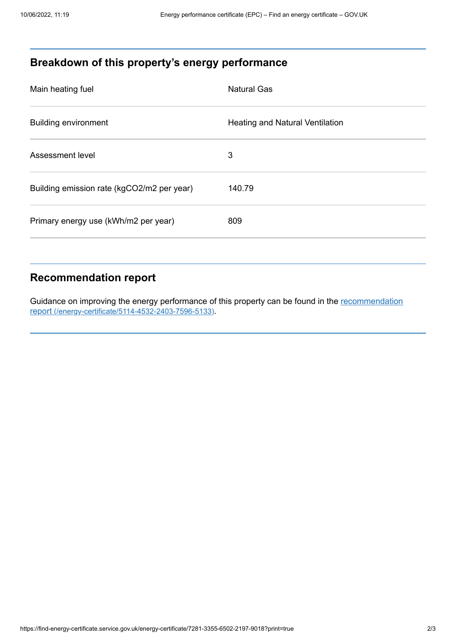# **Breakdown of this property's energy performance**

| Main heating fuel                          | <b>Natural Gas</b>                     |
|--------------------------------------------|----------------------------------------|
| <b>Building environment</b>                | <b>Heating and Natural Ventilation</b> |
| Assessment level                           | 3                                      |
| Building emission rate (kgCO2/m2 per year) | 140.79                                 |
| Primary energy use (kWh/m2 per year)       | 809                                    |

# **Recommendation report**

Guidance on improving the energy performance of this property can be found in the recommendation report [\(/energy-certificate/5114-4532-2403-7596-5133\)](https://find-energy-certificate.service.gov.uk/energy-certificate/5114-4532-2403-7596-5133).